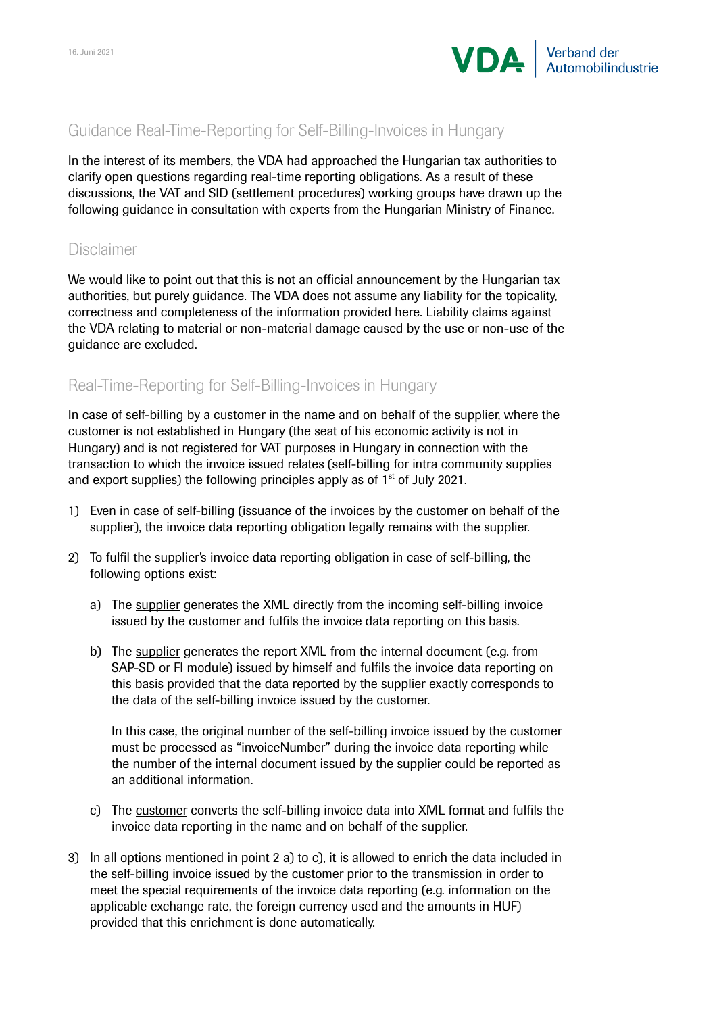

## Guidance Real-Time-Reporting for Self-Billing-Invoices in Hungary

In the interest of its members, the VDA had approached the Hungarian tax authorities to clarify open questions regarding real-time reporting obligations. As a result of these discussions, the VAT and SID (settlement procedures) working groups have drawn up the following guidance in consultation with experts from the Hungarian Ministry of Finance.

## Disclaimer

We would like to point out that this is not an official announcement by the Hungarian tax authorities, but purely guidance. The VDA does not assume any liability for the topicality, correctness and completeness of the information provided here. Liability claims against the VDA relating to material or non-material damage caused by the use or non-use of the guidance are excluded.

## Real-Time-Reporting for Self-Billing-Invoices in Hungary

In case of self-billing by a customer in the name and on behalf of the supplier, where the customer is not established in Hungary (the seat of his economic activity is not in Hungary) and is not registered for VAT purposes in Hungary in connection with the transaction to which the invoice issued relates (self-billing for intra community supplies and export supplies) the following principles apply as of  $1<sup>st</sup>$  of July 2021.

- 1) Even in case of self-billing (issuance of the invoices by the customer on behalf of the supplier), the invoice data reporting obligation legally remains with the supplier.
- 2) To fulfil the supplier's invoice data reporting obligation in case of self-billing, the following options exist:
	- a) The supplier generates the XML directly from the incoming self-billing invoice issued by the customer and fulfils the invoice data reporting on this basis.
	- b) The supplier generates the report XML from the internal document (e.g. from SAP-SD or FI module) issued by himself and fulfils the invoice data reporting on this basis provided that the data reported by the supplier exactly corresponds to the data of the self-billing invoice issued by the customer.

In this case, the original number of the self-billing invoice issued by the customer must be processed as "invoiceNumber" during the invoice data reporting while the number of the internal document issued by the supplier could be reported as an additional information.

- c) The customer converts the self-billing invoice data into XML format and fulfils the invoice data reporting in the name and on behalf of the supplier.
- 3) In all options mentioned in point 2 a) to c), it is allowed to enrich the data included in the self-billing invoice issued by the customer prior to the transmission in order to meet the special requirements of the invoice data reporting (e.g. information on the applicable exchange rate, the foreign currency used and the amounts in HUF) provided that this enrichment is done automatically.